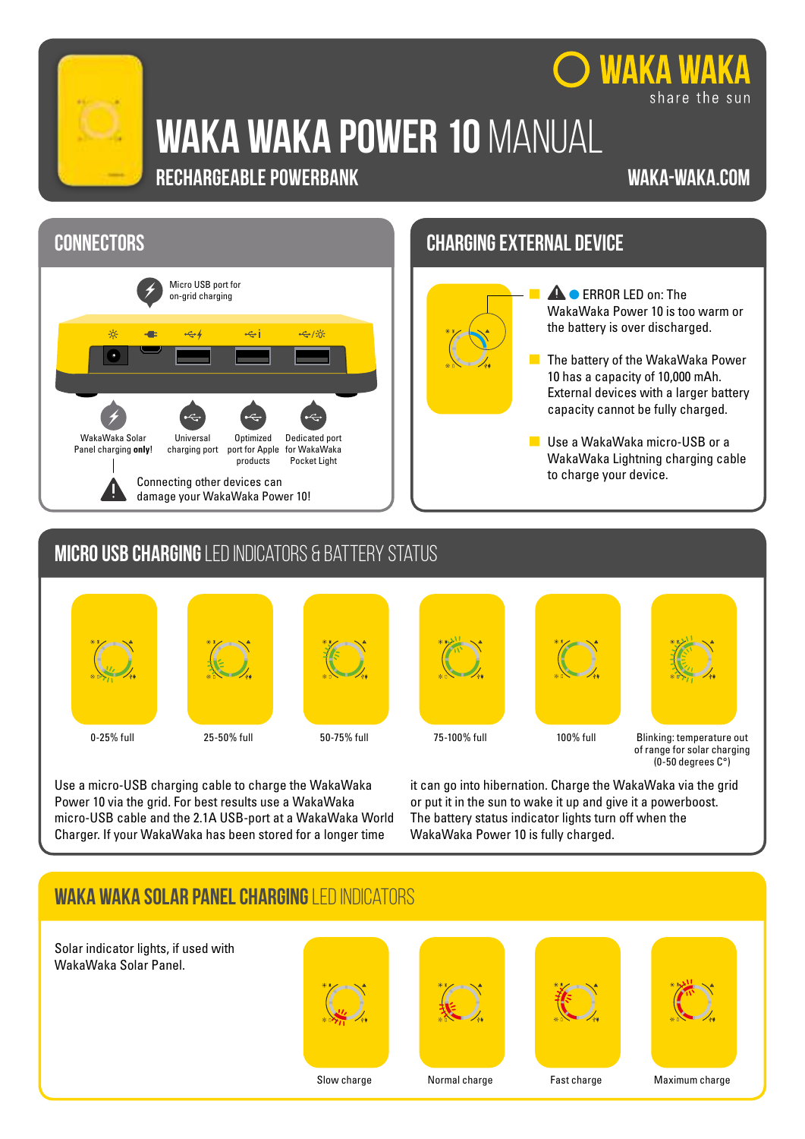

# **WAKA WAKA power 10** manual

# **RECHARGEABLE POWERBANK**

#### **waka-waka.com**

share the sun

**WAKA WAKA** 





- **4 •** ERROR LED on: The WakaWaka Power 10 is too warm or the battery is over discharged.
- $\blacksquare$  The battery of the WakaWaka Power 10 has a capacity of 10,000 mAh. External devices with a larger battery capacity cannot be fully charged.
- **USE a WakaWaka micro-USB or a** WakaWaka Lightning charging cable to charge your device.

# **micro usb charging** led indicators & battery status













0-25% full 25-50% full 50-75% full 75-100% full 100% full Blinking: temperature out of range for solar charging (0-50 degrees C°)

Use a micro-USB charging cable to charge the WakaWaka Power 10 via the grid. For best results use a WakaWaka micro-USB cable and the 2.1A USB-port at a WakaWaka World Charger. If your WakaWaka has been stored for a longer time

it can go into hibernation. Charge the WakaWaka via the grid or put it in the sun to wake it up and give it a powerboost. The battery status indicator lights turn off when the WakaWaka Power 10 is fully charged.

# **waka waka solar panel charging** led indicators

Solar indicator lights, if used with WakaWaka Solar Panel.









Slow charge Normal charge Fast charge Maximum charge